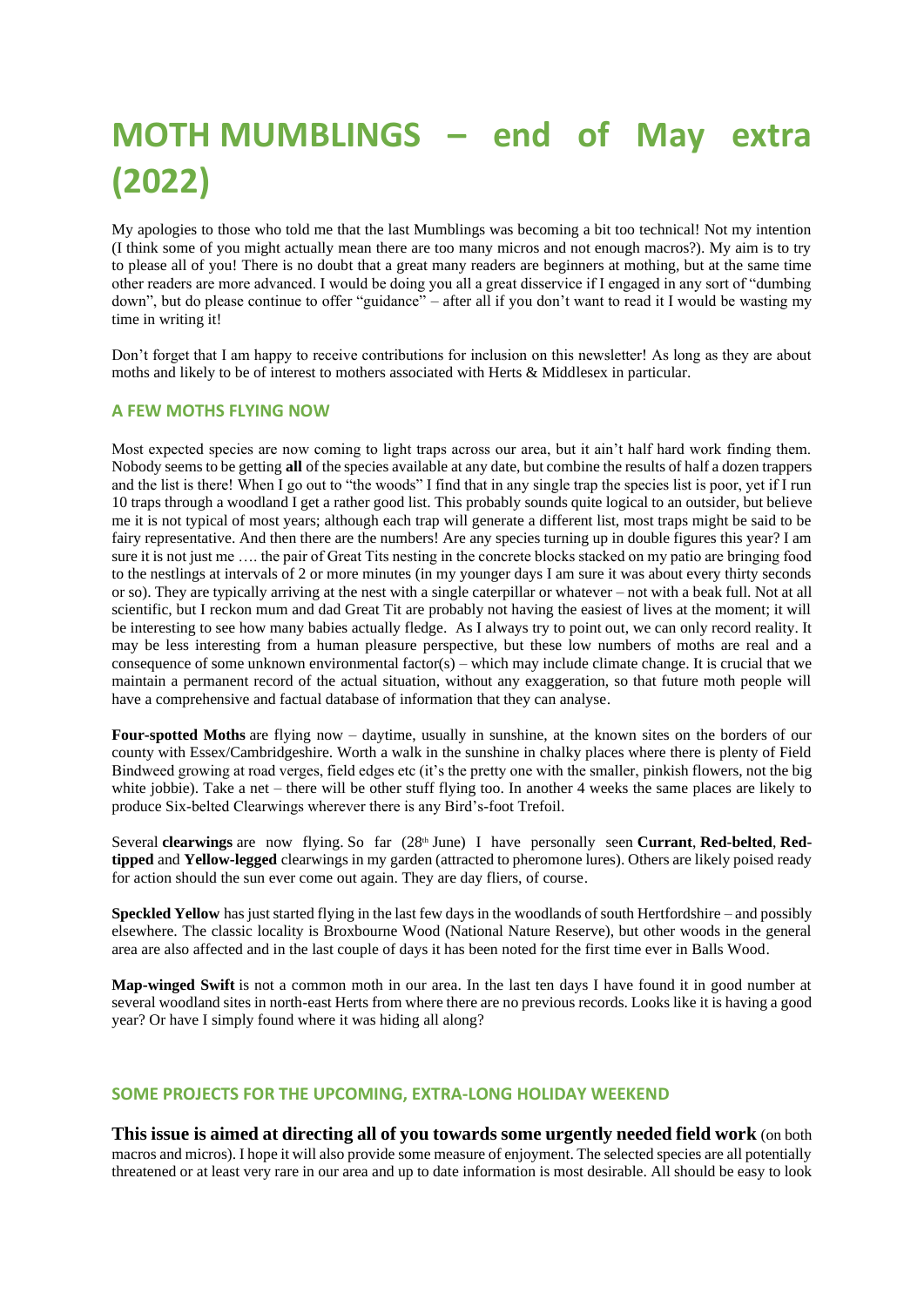# **MOTH MUMBLINGS – end of May extra (2022)**

My apologies to those who told me that the last Mumblings was becoming a bit too technical! Not my intention (I think some of you might actually mean there are too many micros and not enough macros?). My aim is to try to please all of you! There is no doubt that a great many readers are beginners at mothing, but at the same time other readers are more advanced. I would be doing you all a great disservice if I engaged in any sort of "dumbing down", but do please continue to offer "guidance" – after all if you don't want to read it I would be wasting my time in writing it!

Don't forget that I am happy to receive contributions for inclusion on this newsletter! As long as they are about moths and likely to be of interest to mothers associated with Herts & Middlesex in particular.

# **A FEW MOTHS FLYING NOW**

Most expected species are now coming to light traps across our area, but it ain't half hard work finding them. Nobody seems to be getting **all** of the species available at any date, but combine the results of half a dozen trappers and the list is there! When I go out to "the woods" I find that in any single trap the species list is poor, yet if I run 10 traps through a woodland I get a rather good list. This probably sounds quite logical to an outsider, but believe me it is not typical of most years; although each trap will generate a different list, most traps might be said to be fairy representative. And then there are the numbers! Are any species turning up in double figures this year? I am sure it is not just me …. the pair of Great Tits nesting in the concrete blocks stacked on my patio are bringing food to the nestlings at intervals of 2 or more minutes (in my younger days I am sure it was about every thirty seconds or so). They are typically arriving at the nest with a single caterpillar or whatever – not with a beak full. Not at all scientific, but I reckon mum and dad Great Tit are probably not having the easiest of lives at the moment; it will be interesting to see how many babies actually fledge. As I always try to point out, we can only record reality. It may be less interesting from a human pleasure perspective, but these low numbers of moths are real and a consequence of some unknown environmental factor(s) – which may include climate change. It is crucial that we maintain a permanent record of the actual situation, without any exaggeration, so that future moth people will have a comprehensive and factual database of information that they can analyse.

**Four-spotted Moths** are flying now – daytime, usually in sunshine, at the known sites on the borders of our county with Essex/Cambridgeshire. Worth a walk in the sunshine in chalky places where there is plenty of Field Bindweed growing at road verges, field edges etc (it's the pretty one with the smaller, pinkish flowers, not the big white jobbie). Take a net – there will be other stuff flying too. In another 4 weeks the same places are likely to produce Six-belted Clearwings wherever there is any Bird's-foot Trefoil.

Several **clearwings** are now flying. So far (28<sup>th</sup> June) I have personally seen **Currant**, **Red-belted**, **Redtipped** and **Yellow-legged** clearwings in my garden (attracted to pheromone lures). Others are likely poised ready for action should the sun ever come out again. They are day fliers, of course.

**Speckled Yellow** has just started flying in the last few days in the woodlands of south Hertfordshire – and possibly elsewhere. The classic locality is Broxbourne Wood (National Nature Reserve), but other woods in the general area are also affected and in the last couple of days it has been noted for the first time ever in Balls Wood.

**Map-winged Swift** is not a common moth in our area. In the last ten days I have found it in good number at several woodland sites in north-east Herts from where there are no previous records. Looks like it is having a good year? Or have I simply found where it was hiding all along?

# **SOME PROJECTS FOR THE UPCOMING, EXTRA-LONG HOLIDAY WEEKEND**

**This issue is aimed at directing all of you towards some urgently needed field work** (on both macros and micros). I hope it will also provide some measure of enjoyment. The selected species are all potentially threatened or at least very rare in our area and up to date information is most desirable. All should be easy to look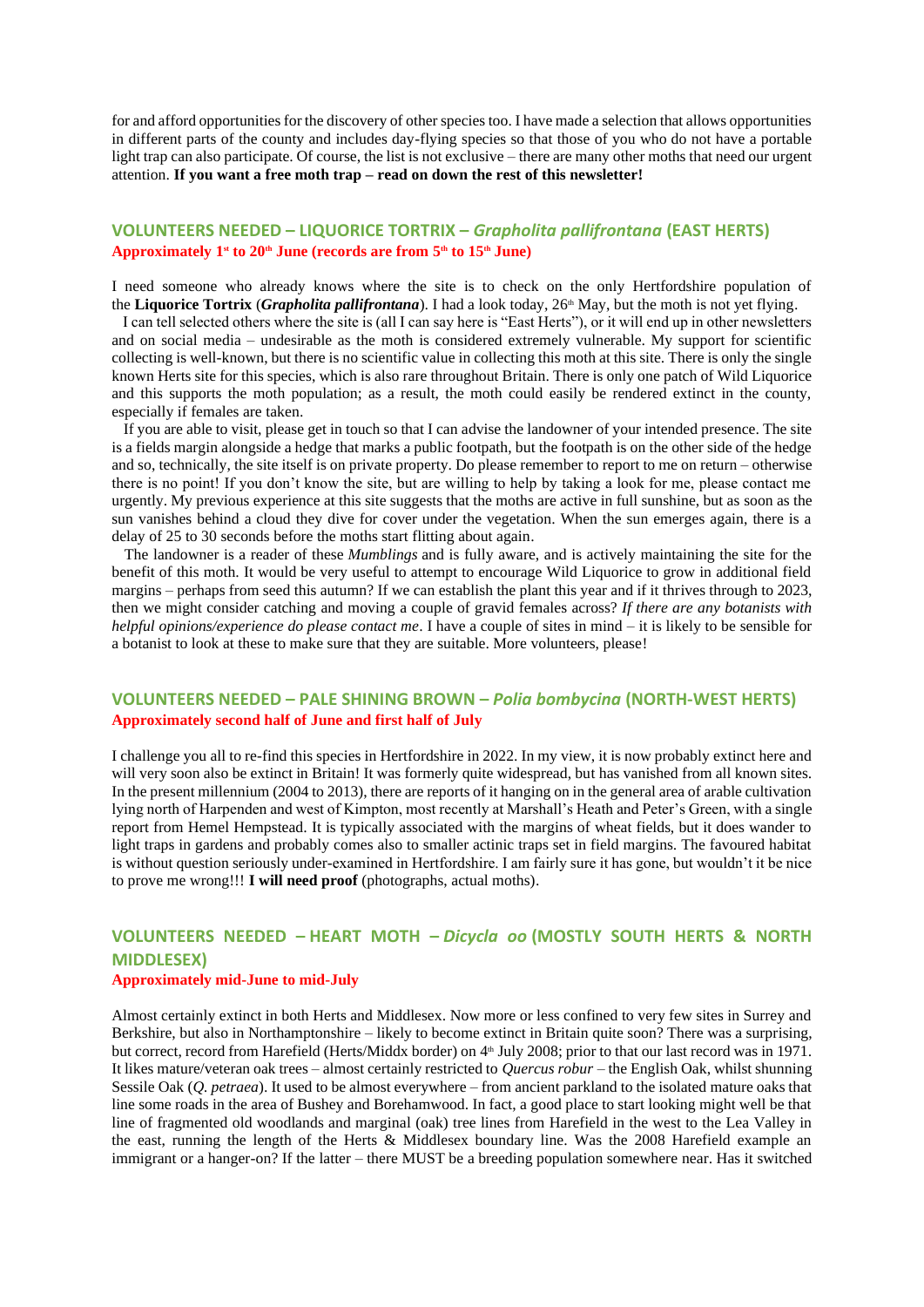for and afford opportunities for the discovery of other species too. I have made a selection that allows opportunities in different parts of the county and includes day-flying species so that those of you who do not have a portable light trap can also participate. Of course, the list is not exclusive – there are many other moths that need our urgent attention. **If you want a free moth trap – read on down the rest of this newsletter!**

# **VOLUNTEERS NEEDED – LIQUORICE TORTRIX –** *Grapholita pallifrontana* **(EAST HERTS)** Approximately 1<sup>st</sup> to 20<sup>th</sup> June (records are from 5<sup>th</sup> to 15<sup>th</sup> June)

I need someone who already knows where the site is to check on the only Hertfordshire population of the Liquorice Tortrix (*Grapholita pallifrontana*). I had a look today, 26<sup>th</sup> May, but the moth is not yet flying.

 I can tell selected others where the site is (all I can say here is "East Herts"), or it will end up in other newsletters and on social media – undesirable as the moth is considered extremely vulnerable. My support for scientific collecting is well-known, but there is no scientific value in collecting this moth at this site. There is only the single known Herts site for this species, which is also rare throughout Britain. There is only one patch of Wild Liquorice and this supports the moth population; as a result, the moth could easily be rendered extinct in the county, especially if females are taken.

If you are able to visit, please get in touch so that I can advise the landowner of your intended presence. The site is a fields margin alongside a hedge that marks a public footpath, but the footpath is on the other side of the hedge and so, technically, the site itself is on private property. Do please remember to report to me on return – otherwise there is no point! If you don't know the site, but are willing to help by taking a look for me, please contact me urgently. My previous experience at this site suggests that the moths are active in full sunshine, but as soon as the sun vanishes behind a cloud they dive for cover under the vegetation. When the sun emerges again, there is a delay of 25 to 30 seconds before the moths start flitting about again.

 The landowner is a reader of these *Mumblings* and is fully aware, and is actively maintaining the site for the benefit of this moth. It would be very useful to attempt to encourage Wild Liquorice to grow in additional field margins – perhaps from seed this autumn? If we can establish the plant this year and if it thrives through to 2023, then we might consider catching and moving a couple of gravid females across? *If there are any botanists with helpful opinions/experience do please contact me*. I have a couple of sites in mind – it is likely to be sensible for a botanist to look at these to make sure that they are suitable. More volunteers, please!

# **VOLUNTEERS NEEDED – PALE SHINING BROWN –** *Polia bombycina* **(NORTH-WEST HERTS) Approximately second half of June and first half of July**

I challenge you all to re-find this species in Hertfordshire in 2022. In my view, it is now probably extinct here and will very soon also be extinct in Britain! It was formerly quite widespread, but has vanished from all known sites. In the present millennium (2004 to 2013), there are reports of it hanging on in the general area of arable cultivation lying north of Harpenden and west of Kimpton, most recently at Marshall's Heath and Peter's Green, with a single report from Hemel Hempstead. It is typically associated with the margins of wheat fields, but it does wander to light traps in gardens and probably comes also to smaller actinic traps set in field margins. The favoured habitat is without question seriously under-examined in Hertfordshire. I am fairly sure it has gone, but wouldn't it be nice to prove me wrong!!! **I will need proof** (photographs, actual moths).

# **VOLUNTEERS NEEDED – HEART MOTH –** *Dicycla oo* **(MOSTLY SOUTH HERTS & NORTH MIDDLESEX) Approximately mid-June to mid-July**

Almost certainly extinct in both Herts and Middlesex. Now more or less confined to very few sites in Surrey and Berkshire, but also in Northamptonshire – likely to become extinct in Britain quite soon? There was a surprising, but correct, record from Harefield (Herts/Middx border) on  $4^{\text{th}}$  July 2008; prior to that our last record was in 1971. It likes mature/veteran oak trees – almost certainly restricted to *Quercus robur* – the English Oak, whilst shunning Sessile Oak (*Q. petraea*). It used to be almost everywhere – from ancient parkland to the isolated mature oaks that line some roads in the area of Bushey and Borehamwood. In fact, a good place to start looking might well be that line of fragmented old woodlands and marginal (oak) tree lines from Harefield in the west to the Lea Valley in the east, running the length of the Herts & Middlesex boundary line. Was the 2008 Harefield example an immigrant or a hanger-on? If the latter – there MUST be a breeding population somewhere near. Has it switched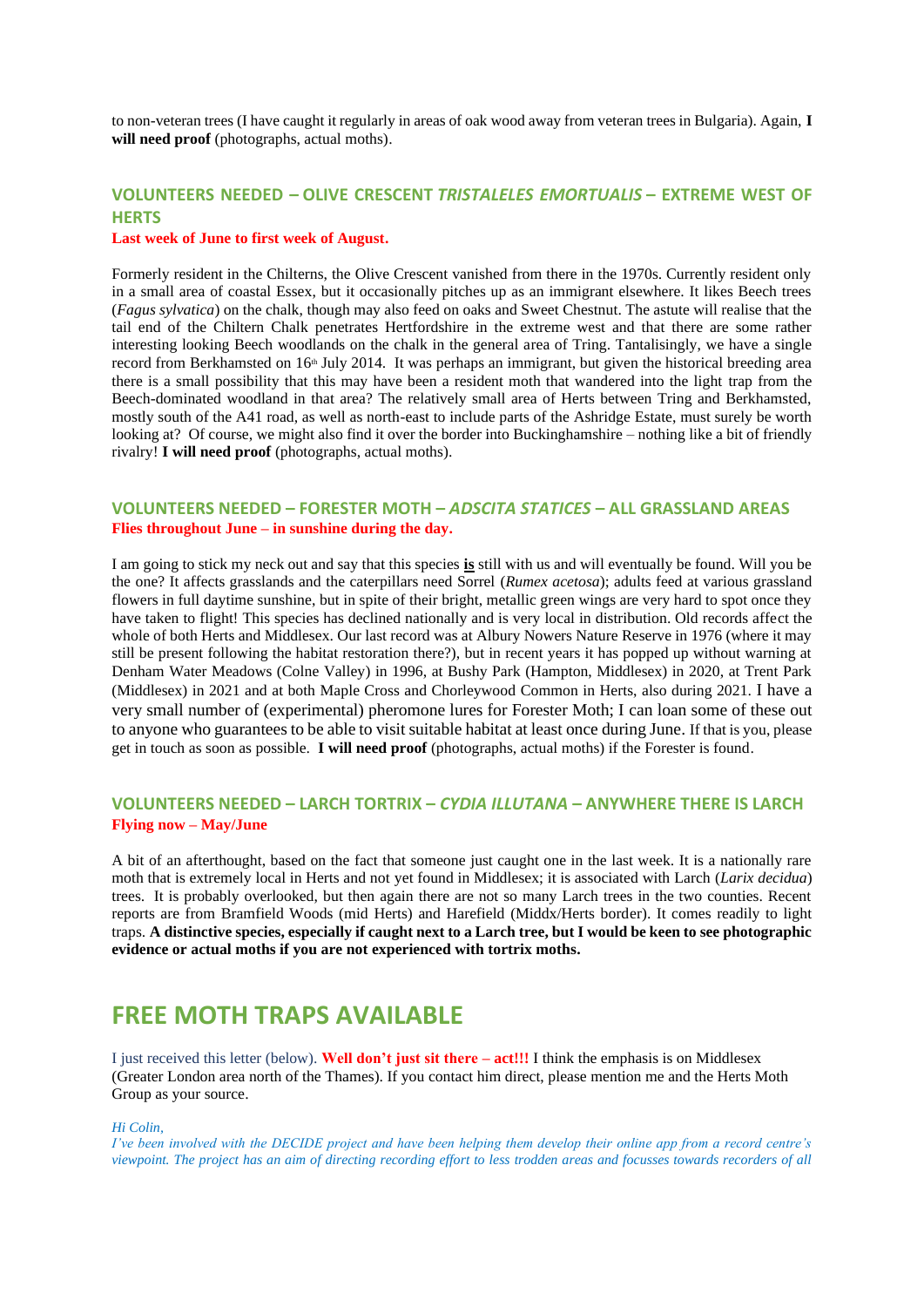to non-veteran trees (I have caught it regularly in areas of oak wood away from veteran trees in Bulgaria). Again, **I will need proof** (photographs, actual moths).

# **VOLUNTEERS NEEDED – OLIVE CRESCENT** *TRISTALELES EMORTUALIS* **– EXTREME WEST OF HERTS**

#### **Last week of June to first week of August.**

Formerly resident in the Chilterns, the Olive Crescent vanished from there in the 1970s. Currently resident only in a small area of coastal Essex, but it occasionally pitches up as an immigrant elsewhere. It likes Beech trees (*Fagus sylvatica*) on the chalk, though may also feed on oaks and Sweet Chestnut. The astute will realise that the tail end of the Chiltern Chalk penetrates Hertfordshire in the extreme west and that there are some rather interesting looking Beech woodlands on the chalk in the general area of Tring. Tantalisingly, we have a single record from Berkhamsted on 16<sup>th</sup> July 2014. It was perhaps an immigrant, but given the historical breeding area there is a small possibility that this may have been a resident moth that wandered into the light trap from the Beech-dominated woodland in that area? The relatively small area of Herts between Tring and Berkhamsted, mostly south of the A41 road, as well as north-east to include parts of the Ashridge Estate, must surely be worth looking at? Of course, we might also find it over the border into Buckinghamshire – nothing like a bit of friendly rivalry! **I will need proof** (photographs, actual moths).

# **VOLUNTEERS NEEDED – FORESTER MOTH –** *ADSCITA STATICES* **– ALL GRASSLAND AREAS Flies throughout June – in sunshine during the day.**

I am going to stick my neck out and say that this species **is** still with us and will eventually be found. Will you be the one? It affects grasslands and the caterpillars need Sorrel (*Rumex acetosa*); adults feed at various grassland flowers in full daytime sunshine, but in spite of their bright, metallic green wings are very hard to spot once they have taken to flight! This species has declined nationally and is very local in distribution. Old records affect the whole of both Herts and Middlesex. Our last record was at Albury Nowers Nature Reserve in 1976 (where it may still be present following the habitat restoration there?), but in recent years it has popped up without warning at Denham Water Meadows (Colne Valley) in 1996, at Bushy Park (Hampton, Middlesex) in 2020, at Trent Park (Middlesex) in 2021 and at both Maple Cross and Chorleywood Common in Herts, also during 2021. I have a very small number of (experimental) pheromone lures for Forester Moth; I can loan some of these out to anyone who guarantees to be able to visit suitable habitat at least once during June. If that is you, please get in touch as soon as possible. **I will need proof** (photographs, actual moths) if the Forester is found.

# **VOLUNTEERS NEEDED – LARCH TORTRIX –** *CYDIA ILLUTANA* **– ANYWHERE THERE IS LARCH Flying now – May/June**

A bit of an afterthought, based on the fact that someone just caught one in the last week. It is a nationally rare moth that is extremely local in Herts and not yet found in Middlesex; it is associated with Larch (*Larix decidua*) trees. It is probably overlooked, but then again there are not so many Larch trees in the two counties. Recent reports are from Bramfield Woods (mid Herts) and Harefield (Middx/Herts border). It comes readily to light traps. **A distinctive species, especially if caught next to a Larch tree, but I would be keen to see photographic evidence or actual moths if you are not experienced with tortrix moths.**

# **FREE MOTH TRAPS AVAILABLE**

I just received this letter (below). **Well don't just sit there – act!!!** I think the emphasis is on Middlesex (Greater London area north of the Thames). If you contact him direct, please mention me and the Herts Moth Group as your source.

*Hi Colin,*

*I've been involved with the DECIDE project and have been helping them develop their online app from a record centre's viewpoint. The project has an aim of directing recording effort to less trodden areas and focusses towards recorders of all*